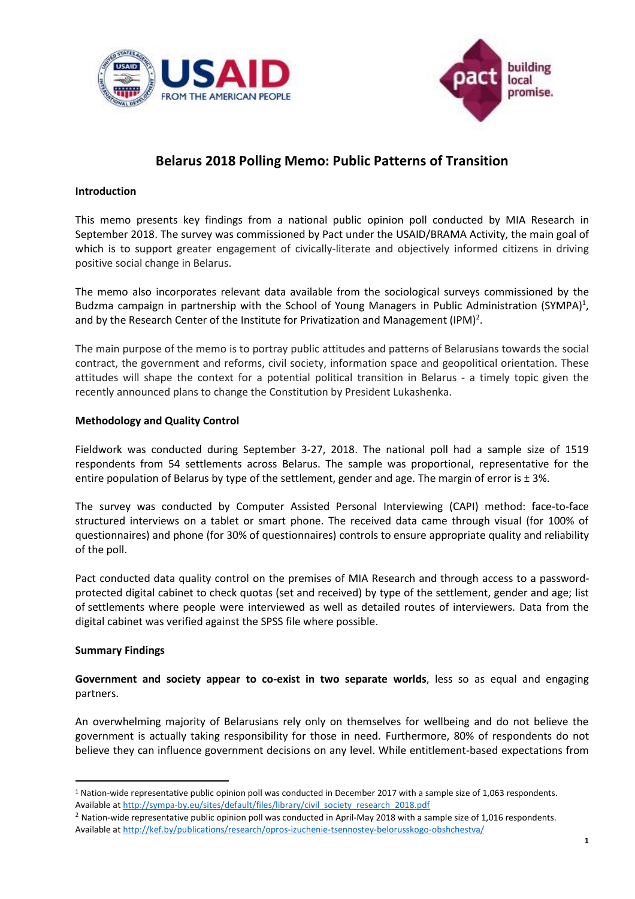



# **Belarus 2018 Polling Memo: Public Patterns of Transition**

# **Introduction**

This memo presents key findings from a national public opinion poll conducted by MIA Research in September 2018. The survey was commissioned by Pact under the USAID/BRAMA Activity, the main goal of which is to support greater engagement of civically-literate and objectively informed citizens in driving positive social change in Belarus.

The memo also incorporates relevant data available from the sociological surveys commissioned by the Budzma campaign in partnership with the School of Young Managers in Public Administration (SYMPA)<sup>1</sup>, and by the Research Center of the Institute for Privatization and Management (IPM)<sup>2</sup>.

The main purpose of the memo is to portray public attitudes and patterns of Belarusians towards the social contract, the government and reforms, civil society, information space and geopolitical orientation. These attitudes will shape the context for a potential political transition in Belarus - a timely topic given the recently announced plans to change the Constitution by President Lukashenka.

# **Methodology and Quality Control**

Fieldwork was conducted during September 3-27, 2018. The national poll had a sample size of 1519 respondents from 54 settlements across Belarus. The sample was proportional, representative for the entire population of Belarus by type of the settlement, gender and age. The margin of error is  $\pm 3$ %.

The survey was conducted by Computer Assisted Personal Interviewing (CAPI) method: face-to-face structured interviews on a tablet or smart phone. The received data came through visual (for 100% of questionnaires) and phone (for 30% of questionnaires) controls to ensure appropriate quality and reliability of the poll.

Pact conducted data quality control on the premises of MIA Research and through access to a passwordprotected digital cabinet to check quotas (set and received) by type of the settlement, gender and age; list of settlements where people were interviewed as well as detailed routes of interviewers. Data from the digital cabinet was verified against the SPSS file where possible.

## **Summary Findings**

l

**Government and society appear to co-exist in two separate worlds**, less so as equal and engaging partners.

An overwhelming majority of Belarusians rely only on themselves for wellbeing and do not believe the government is actually taking responsibility for those in need. Furthermore, 80% of respondents do not believe they can influence government decisions on any level. While entitlement-based expectations from

<sup>1</sup> Nation-wide representative public opinion poll was conducted in December 2017 with a sample size of 1,063 respondents. Available a[t http://sympa-by.eu/sites/default/files/library/civil\\_society\\_research\\_2018.pdf](http://sympa-by.eu/sites/default/files/library/civil_society_research_2018.pdf)

 $2$  Nation-wide representative public opinion poll was conducted in April-May 2018 with a sample size of 1,016 respondents. Available a[t http://kef.by/publications/research/opros-izuchenie-tsennostey-belorusskogo-obshchestva/](http://kef.by/publications/research/opros-izuchenie-tsennostey-belorusskogo-obshchestva/)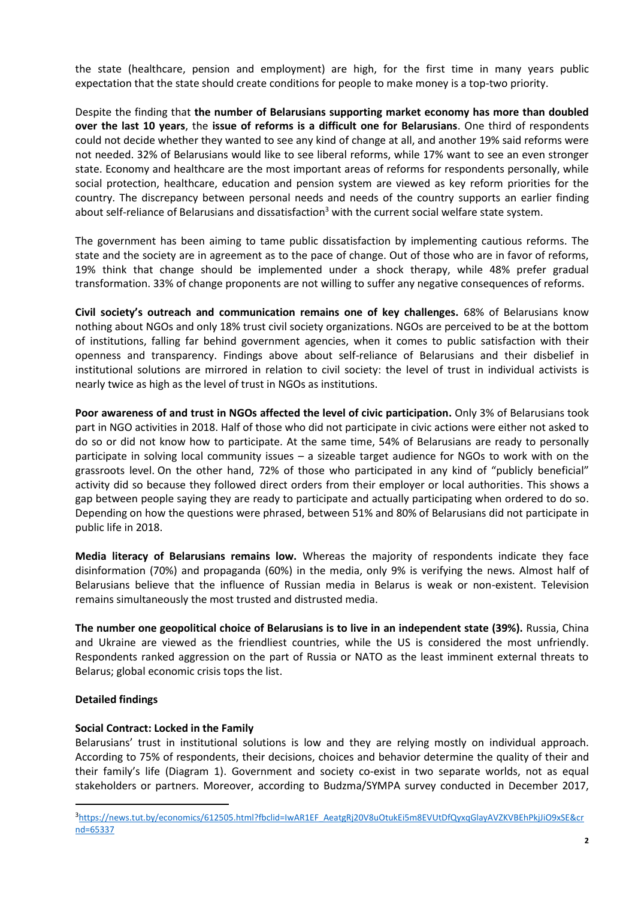the state (healthcare, pension and employment) are high, for the first time in many years public expectation that the state should create conditions for people to make money is a top-two priority.

Despite the finding that **the number of Belarusians supporting market economy has more than doubled over the last 10 years**, the **issue of reforms is a difficult one for Belarusians**. One third of respondents could not decide whether they wanted to see any kind of change at all, and another 19% said reforms were not needed. 32% of Belarusians would like to see liberal reforms, while 17% want to see an even stronger state. Economy and healthcare are the most important areas of reforms for respondents personally, while social protection, healthcare, education and pension system are viewed as key reform priorities for the country. The discrepancy between personal needs and needs of the country supports an earlier finding about self-reliance of Belarusians and dissatisfaction<sup>3</sup> with the current social welfare state system.

The government has been aiming to tame public dissatisfaction by implementing cautious reforms. The state and the society are in agreement as to the pace of change. Out of those who are in favor of reforms, 19% think that change should be implemented under a shock therapy, while 48% prefer gradual transformation. 33% of change proponents are not willing to suffer any negative consequences of reforms.

**Civil society's outreach and communication remains one of key challenges.** 68% of Belarusians know nothing about NGOs and only 18% trust civil society organizations. NGOs are perceived to be at the bottom of institutions, falling far behind government agencies, when it comes to public satisfaction with their openness and transparency. Findings above about self-reliance of Belarusians and their disbelief in institutional solutions are mirrored in relation to civil society: the level of trust in individual activists is nearly twice as high as the level of trust in NGOs as institutions.

**Poor awareness of and trust in NGOs affected the level of civic participation.** Only 3% of Belarusians took part in NGO activities in 2018. Half of those who did not participate in civic actions were either not asked to do so or did not know how to participate. At the same time, 54% of Belarusians are ready to personally participate in solving local community issues – a sizeable target audience for NGOs to work with on the grassroots level. On the other hand, 72% of those who participated in any kind of "publicly beneficial" activity did so because they followed direct orders from their employer or local authorities. This shows a gap between people saying they are ready to participate and actually participating when ordered to do so. Depending on how the questions were phrased, between 51% and 80% of Belarusians did not participate in public life in 2018.

**Media literacy of Belarusians remains low.** Whereas the majority of respondents indicate they face disinformation (70%) and propaganda (60%) in the media, only 9% is verifying the news. Almost half of Belarusians believe that the influence of Russian media in Belarus is weak or non-existent. Television remains simultaneously the most trusted and distrusted media.

**The number one geopolitical choice of Belarusians is to live in an independent state (39%).** Russia, China and Ukraine are viewed as the friendliest countries, while the US is considered the most unfriendly. Respondents ranked aggression on the part of Russia or NATO as the least imminent external threats to Belarus; global economic crisis tops the list.

## **Detailed findings**

 $\overline{a}$ 

## **Social Contract: Locked in the Family**

Belarusians' trust in institutional solutions is low and they are relying mostly on individual approach. According to 75% of respondents, their decisions, choices and behavior determine the quality of their and their family's life (Diagram 1). Government and society co-exist in two separate worlds, not as equal stakeholders or partners. Moreover, according to Budzma/SYMPA survey conducted in December 2017,

<sup>3</sup>[https://news.tut.by/economics/612505.html?fbclid=IwAR1EF\\_AeatgRj20V8uOtukEi5m8EVUtDfQyxqGlayAVZKVBEhPkjJiO9xSE&cr](https://news.tut.by/economics/612505.html?fbclid=IwAR1EF_AeatgRj20V8uOtukEi5m8EVUtDfQyxqGlayAVZKVBEhPkjJiO9xSE&crnd=65337) [nd=65337](https://news.tut.by/economics/612505.html?fbclid=IwAR1EF_AeatgRj20V8uOtukEi5m8EVUtDfQyxqGlayAVZKVBEhPkjJiO9xSE&crnd=65337)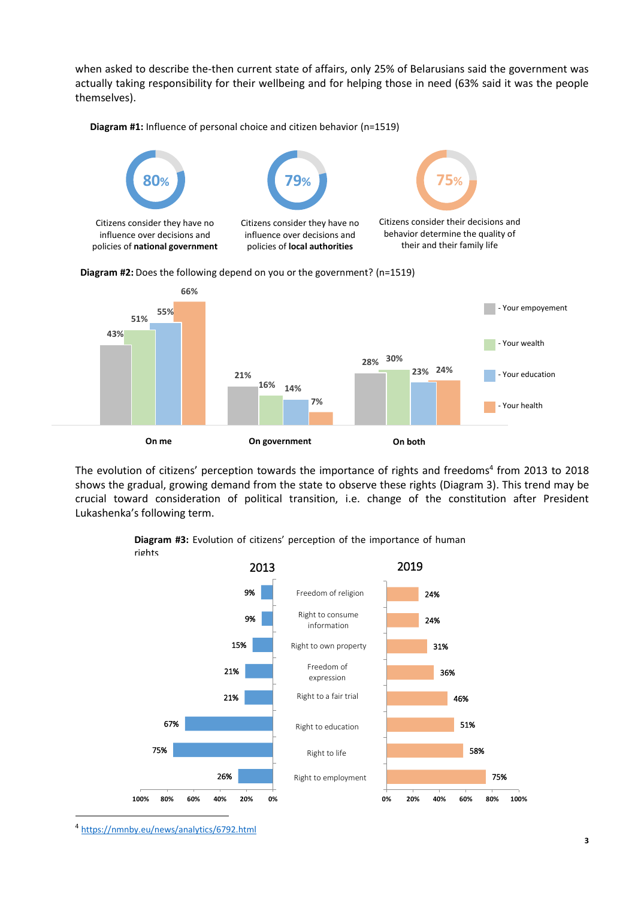when asked to describe the-then current state of affairs, only 25% of Belarusians said the government was actually taking responsibility for their wellbeing and for helping those in need (63% said it was the people themselves).









The evolution of citizens' perception towards the importance of rights and freedoms<sup>4</sup> from 2013 to 2018 shows the gradual, growing demand from the state to observe these rights (Diagram 3). This trend may be crucial toward consideration of political transition, i.e. change of the constitution after President Lukashenka's following term.

> **Diagram #3:** Evolution of citizens' perception of the importance of human rights



<sup>4</sup> <https://nmnby.eu/news/analytics/6792.html>

 $\overline{a}$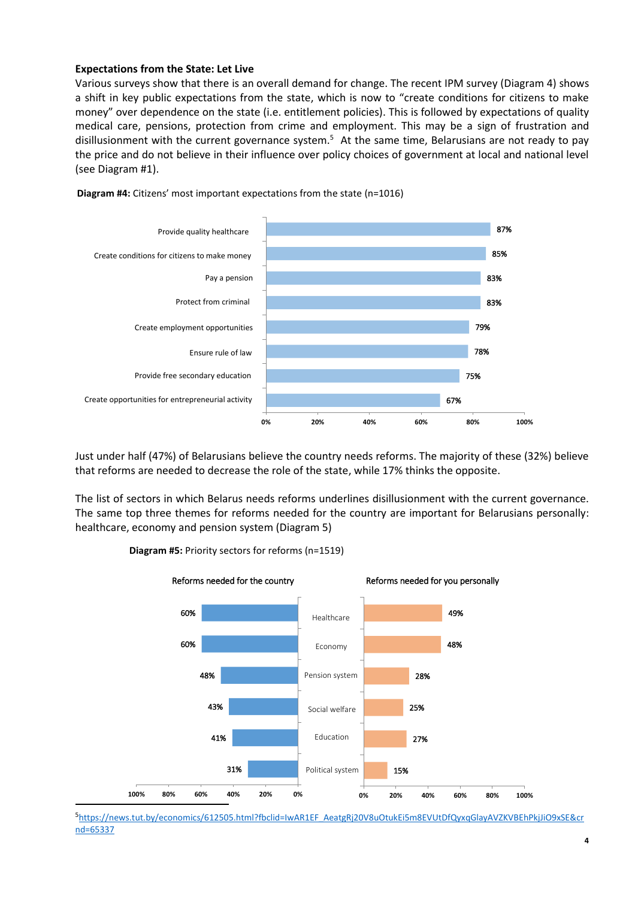## **Expectations from the State: Let Live**

Various surveys show that there is an overall demand for change. The recent IPM survey (Diagram 4) shows a shift in key public expectations from the state, which is now to "create conditions for citizens to make money" over dependence on the state (i.e. entitlement policies). This is followed by expectations of quality medical care, pensions, protection from crime and employment. This may be a sign of frustration and disillusionment with the current governance system.<sup>5</sup> At the same time, Belarusians are not ready to pay the price and do not believe in their influence over policy choices of government at local and national level (see Diagram #1).



**Diagram #4:** Citizens' most important expectations from the state (n=1016)

Just under half (47%) of Belarusians believe the country needs reforms. The majority of these (32%) believe that reforms are needed to decrease the role of the state, while 17% thinks the opposite.

The list of sectors in which Belarus needs reforms underlines disillusionment with the current governance. The same top three themes for reforms needed for the country are important for Belarusians personally: healthcare, economy and pension system (Diagram 5)



**Diagram #5:** Priority sectors for reforms (n=1519)

 $\overline{a}$ 

<sup>5</sup>[https://news.tut.by/economics/612505.html?fbclid=IwAR1EF\\_AeatgRj20V8uOtukEi5m8EVUtDfQyxqGlayAVZKVBEhPkjJiO9xSE&cr](https://news.tut.by/economics/612505.html?fbclid=IwAR1EF_AeatgRj20V8uOtukEi5m8EVUtDfQyxqGlayAVZKVBEhPkjJiO9xSE&crnd=65337) [nd=65337](https://news.tut.by/economics/612505.html?fbclid=IwAR1EF_AeatgRj20V8uOtukEi5m8EVUtDfQyxqGlayAVZKVBEhPkjJiO9xSE&crnd=65337)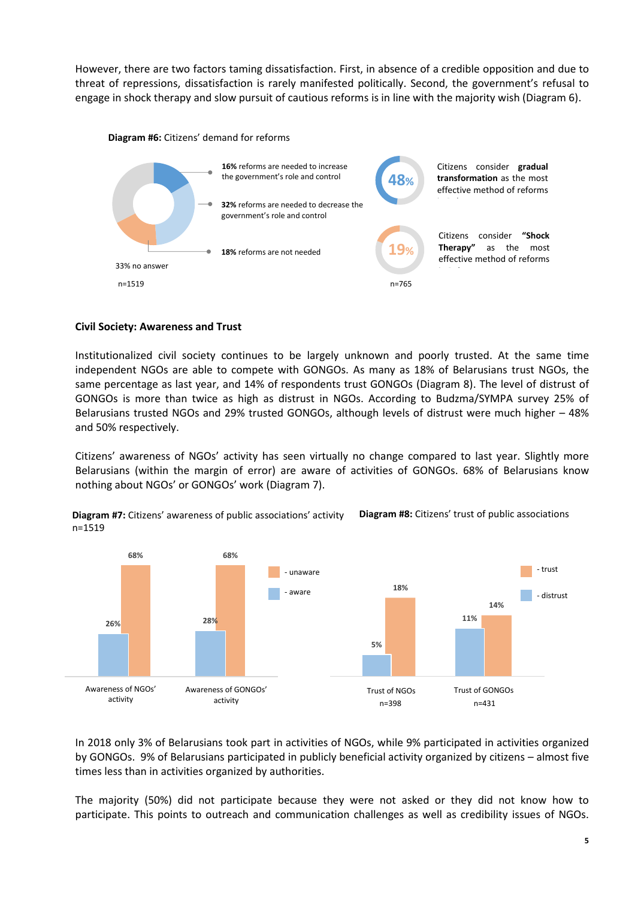However, there are two factors taming dissatisfaction. First, in absence of a credible opposition and due to threat of repressions, dissatisfaction is rarely manifested politically. Second, the government's refusal to engage in shock therapy and slow pursuit of cautious reforms is in line with the majority wish (Diagram 6).



#### **Diagram #6:** Citizens' demand for reforms

## **Civil Society: Awareness and Trust**

Institutionalized civil society continues to be largely unknown and poorly trusted. At the same time independent NGOs are able to compete with GONGOs. As many as 18% of Belarusians trust NGOs, the same percentage as last year, and 14% of respondents trust GONGOs (Diagram 8). The level of distrust of GONGOs is more than twice as high as distrust in NGOs. According to Budzma/SYMPA survey 25% of Belarusians trusted NGOs and 29% trusted GONGOs, although levels of distrust were much higher – 48% and 50% respectively.

Citizens' awareness of NGOs' activity has seen virtually no change compared to last year. Slightly more Belarusians (within the margin of error) are aware of activities of GONGOs. 68% of Belarusians know nothing about NGOs' or GONGOs' work (Diagram 7).



**Diagram #7:** Citizens' awareness of public associations' activity n=1519 **Diagram #8:** Citizens' trust of public associations

In 2018 only 3% of Belarusians took part in activities of NGOs, while 9% participated in activities organized by GONGOs. 9% of Belarusians participated in publicly beneficial activity organized by citizens – almost five times less than in activities organized by authorities.

The majority (50%) did not participate because they were not asked or they did not know how to participate. This points to outreach and communication challenges as well as credibility issues of NGOs.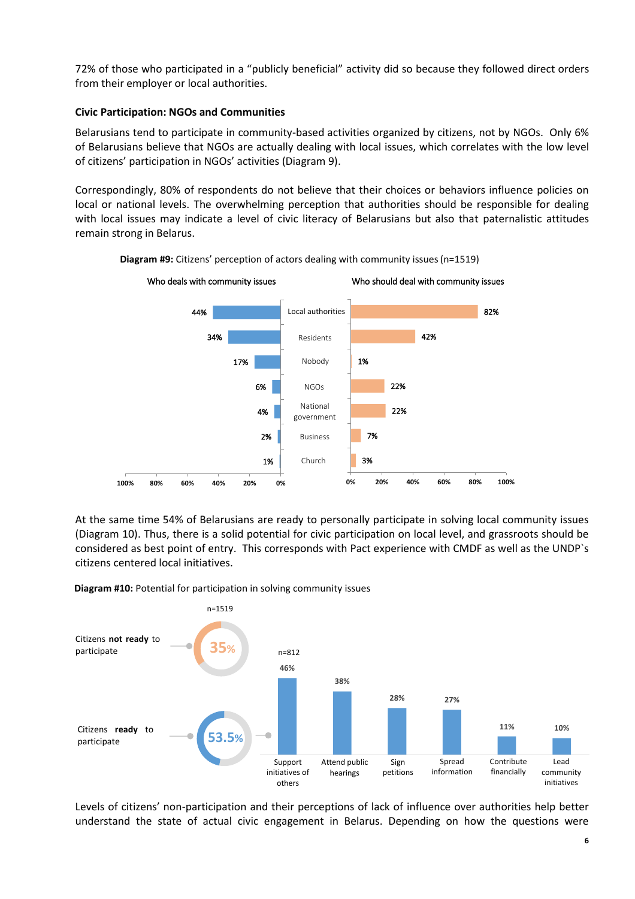72% of those who participated in a "publicly beneficial" activity did so because they followed direct orders from their employer or local authorities.

# **Civic Participation: NGOs and Communities**

Belarusians tend to participate in community-based activities organized by citizens, not by NGOs. Only 6% of Belarusians believe that NGOs are actually dealing with local issues, which correlates with the low level of citizens' participation in NGOs' activities (Diagram 9).

Correspondingly, 80% of respondents do not believe that their choices or behaviors influence policies on local or national levels. The overwhelming perception that authorities should be responsible for dealing with local issues may indicate a level of civic literacy of Belarusians but also that paternalistic attitudes remain strong in Belarus.



**Diagram #9:** Citizens' perception of actors dealing with community issues(n=1519)

At the same time 54% of Belarusians are ready to personally participate in solving local community issues (Diagram 10). Thus, there is a solid potential for civic participation on local level, and grassroots should be considered as best point of entry. This corresponds with Pact experience with CMDF as well as the UNDP`s citizens centered local initiatives.

**Diagram #10:** Potential for participation in solving community issues



Levels of citizens' non-participation and their perceptions of lack of influence over authorities help better understand the state of actual civic engagement in Belarus. Depending on how the questions were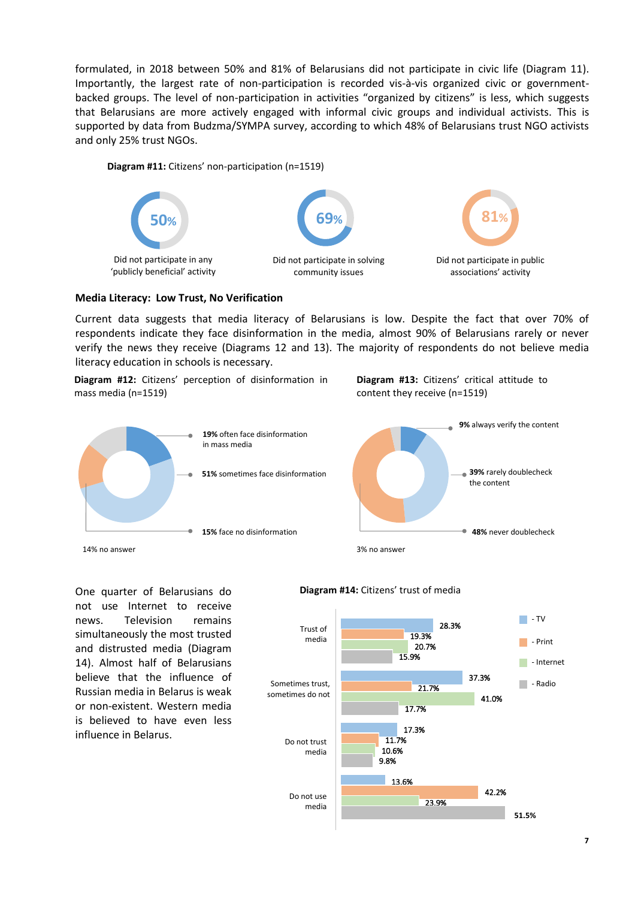formulated, in 2018 between 50% and 81% of Belarusians did not participate in civic life (Diagram 11). Importantly, the largest rate of non-participation is recorded vis-à-vis organized civic or governmentbacked groups. The level of non-participation in activities "organized by citizens" is less, which suggests that Belarusians are more actively engaged with informal civic groups and individual activists. This is supported by data from Budzma/SYMPA survey, according to which 48% of Belarusians trust NGO activists and only 25% trust NGOs.

#### **Diagram #11:** Citizens' non-participation (n=1519)



## **Media Literacy: Low Trust, No Verification**

Current data suggests that media literacy of Belarusians is low. Despite the fact that over 70% of respondents indicate they face disinformation in the media, almost 90% of Belarusians rarely or never verify the news they receive (Diagrams 12 and 13). The majority of respondents do not believe media literacy education in schools is necessary.

**Diagram #12:** Citizens' perception of disinformation in mass media (n=1519)





One quarter of Belarusians do not use Internet to receive news. Television remains simultaneously the most trusted and distrusted media (Diagram 14). Almost half of Belarusians believe that the influence of Russian media in Belarus is weak or non-existent. Western media is believed to have even less influence in Belarus.